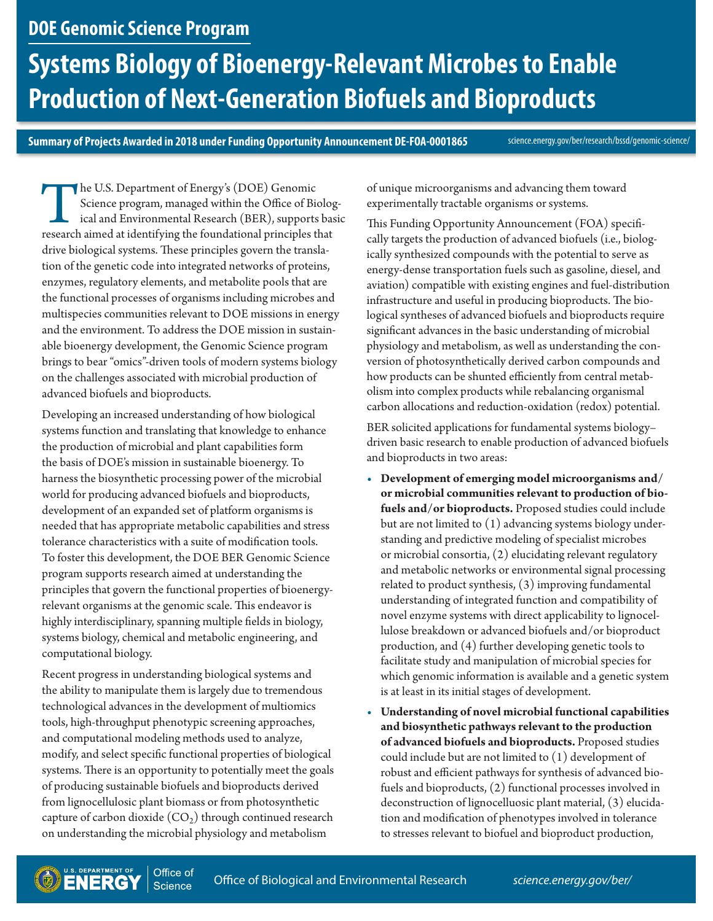## **DOE Genomic Science Program**

# **Systems Biology of Bioenergy-Relevant Microbes to Enable Production of Next-Generation Biofuels and Bioproducts**

**Summary of Projects Awarded in 2018 under Funding Opportunity Announcement DE-FOA-0001865** 

<science.energy.gov/ber/research/bssd/genomic-science/>

The U.S. Department of Energy's (DOE) Genomic<br>Science program, managed within the Office of Bio<br>ical and Environmental Research (BER), supports<br>research aimed at identifying the foundational principles t Science program, managed within the Office of Biological and Environmental Research (BER), supports basic research aimed at identifying the foundational principles that drive biological systems. These principles govern the translation of the genetic code into integrated networks of proteins, enzymes, regulatory elements, and metabolite pools that are the functional processes of organisms including microbes and multispecies communities relevant to DOE missions in energy and the environment. To address the DOE mission in sustainable bioenergy development, the Genomic Science program brings to bear "omics"-driven tools of modern systems biology on the challenges associated with microbial production of advanced biofuels and bioproducts.

Developing an increased understanding of how biological systems function and translating that knowledge to enhance the production of microbial and plant capabilities form the basis of DOE's mission in sustainable bioenergy. To harness the biosynthetic processing power of the microbial world for producing advanced biofuels and bioproducts, development of an expanded set of platform organisms is needed that has appropriate metabolic capabilities and stress tolerance characteristics with a suite of modification tools. To foster this development, the DOE BER Genomic Science program supports research aimed at understanding the principles that govern the functional properties of bioenergyrelevant organisms at the genomic scale. This endeavor is highly interdisciplinary, spanning multiple fields in biology, systems biology, chemical and metabolic engineering, and computational biology.

Recent progress in understanding biological systems and the ability to manipulate them is largely due to tremendous technological advances in the development of multiomics tools, high-throughput phenotypic screening approaches, and computational modeling methods used to analyze, modify, and select specific functional properties of biological systems. There is an opportunity to potentially meet the goals of producing sustainable biofuels and bioproducts derived from lignocellulosic plant biomass or from photosynthetic capture of carbon dioxide  $(CO<sub>2</sub>)$  through continued research on understanding the microbial physiology and metabolism

of unique microorganisms and advancing them toward experimentally tractable organisms or systems.

This Funding Opportunity Announcement (FOA) specifically targets the production of advanced biofuels (i.e., biologically synthesized compounds with the potential to serve as energy-dense transportation fuels such as gasoline, diesel, and aviation) compatible with existing engines and fuel-distribution infrastructure and useful in producing bioproducts. The biological syntheses of advanced biofuels and bioproducts require significant advances in the basic understanding of microbial physiology and metabolism, as well as understanding the conversion of photosynthetically derived carbon compounds and how products can be shunted efficiently from central metabolism into complex products while rebalancing organismal carbon allocations and reduction-oxidation (redox) potential.

BER solicited applications for fundamental systems biology– driven basic research to enable production of advanced biofuels and bioproducts in two areas:

- **Development of emerging model microorganisms and/ or microbial communities relevant to production of biofuels and/or bioproducts.** Proposed studies could include but are not limited to (1) advancing systems biology understanding and predictive modeling of specialist microbes or microbial consortia, (2) elucidating relevant regulatory and metabolic networks or environmental signal processing related to product synthesis, (3) improving fundamental understanding of integrated function and compatibility of novel enzyme systems with direct applicability to lignocellulose breakdown or advanced biofuels and/or bioproduct production, and (4) further developing genetic tools to facilitate study and manipulation of microbial species for which genomic information is available and a genetic system is at least in its initial stages of development.
- **Understanding of novel microbial functional capabilities and biosynthetic pathways relevant to the production of advanced biofuels and bioproducts.** Proposed studies could include but are not limited to (1) development of robust and efficient pathways for synthesis of advanced biofuels and bioproducts, (2) functional processes involved in deconstruction of lignocelluosic plant material, (3) elucidation and modification of phenotypes involved in tolerance to stresses relevant to biofuel and bioproduct production,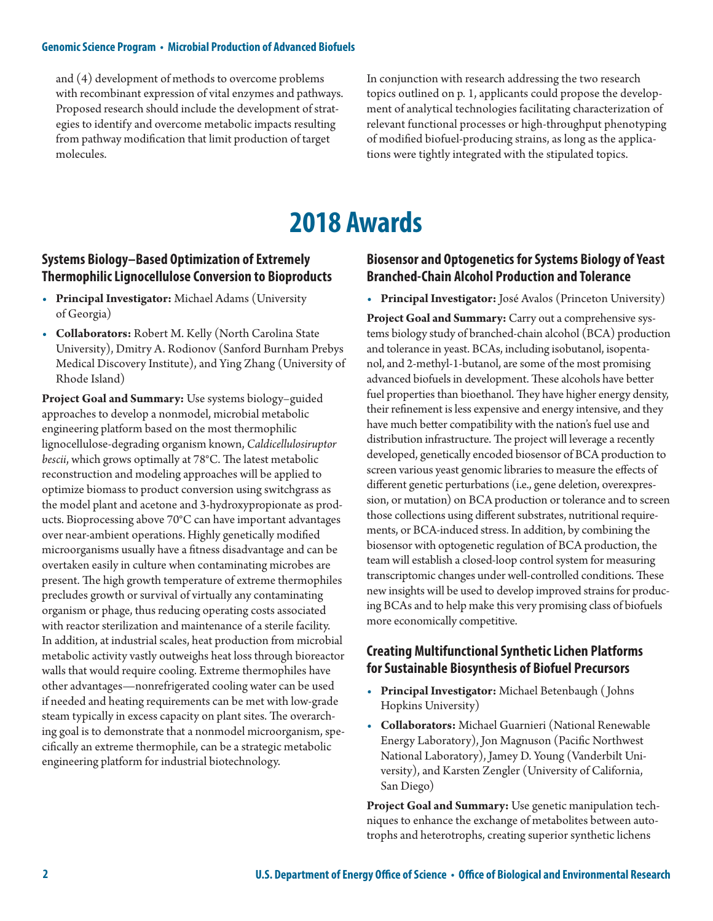and (4) development of methods to overcome problems with recombinant expression of vital enzymes and pathways. Proposed research should include the development of strategies to identify and overcome metabolic impacts resulting from pathway modification that limit production of target molecules.

In conjunction with research addressing the two research topics outlined on p. 1, applicants could propose the development of analytical technologies facilitating characterization of relevant functional processes or high-throughput phenotyping of modified biofuel-producing strains, as long as the applications were tightly integrated with the stipulated topics.

## **2018 Awards**

#### **Systems Biology–Based Optimization of Extremely Thermophilic Lignocellulose Conversion to Bioproducts**

- **Principal Investigator:** Michael Adams (University of Georgia)
- **Collaborators:** Robert M. Kelly (North Carolina State University), Dmitry A. Rodionov (Sanford Burnham Prebys Medical Discovery Institute), and Ying Zhang (University of Rhode Island)

**Project Goal and Summary:** Use systems biology–guided approaches to develop a nonmodel, microbial metabolic engineering platform based on the most thermophilic lignocellulose-degrading organism known, *Caldicellulosiruptor bescii*, which grows optimally at 78°C. The latest metabolic reconstruction and modeling approaches will be applied to optimize biomass to product conversion using switchgrass as the model plant and acetone and 3-hydroxypropionate as products. Bioprocessing above 70°C can have important advantages over near-ambient operations. Highly genetically modified microorganisms usually have a fitness disadvantage and can be overtaken easily in culture when contaminating microbes are present. The high growth temperature of extreme thermophiles precludes growth or survival of virtually any contaminating organism or phage, thus reducing operating costs associated with reactor sterilization and maintenance of a sterile facility. In addition, at industrial scales, heat production from microbial metabolic activity vastly outweighs heat loss through bioreactor walls that would require cooling. Extreme thermophiles have other advantages—nonrefrigerated cooling water can be used if needed and heating requirements can be met with low-grade steam typically in excess capacity on plant sites. The overarching goal is to demonstrate that a nonmodel microorganism, specifically an extreme thermophile, can be a strategic metabolic engineering platform for industrial biotechnology.

#### **Biosensor and Optogenetics for Systems Biology of Yeast Branched-Chain Alcohol Production and Tolerance**

• **Principal Investigator:** José Avalos (Princeton University)

**Project Goal and Summary:** Carry out a comprehensive systems biology study of branched-chain alcohol (BCA) production and tolerance in yeast. BCAs, including isobutanol, isopentanol, and 2-methyl-1-butanol, are some of the most promising advanced biofuels in development. These alcohols have better fuel properties than bioethanol. They have higher energy density, their refinement is less expensive and energy intensive, and they have much better compatibility with the nation's fuel use and distribution infrastructure. The project will leverage a recently developed, genetically encoded biosensor of BCA production to screen various yeast genomic libraries to measure the effects of different genetic perturbations (i.e., gene deletion, overexpression, or mutation) on BCA production or tolerance and to screen those collections using different substrates, nutritional requirements, or BCA-induced stress. In addition, by combining the biosensor with optogenetic regulation of BCA production, the team will establish a closed-loop control system for measuring transcriptomic changes under well-controlled conditions. These new insights will be used to develop improved strains for producing BCAs and to help make this very promising class of biofuels more economically competitive.

#### **Creating Multifunctional Synthetic Lichen Platforms for Sustainable Biosynthesis of Biofuel Precursors**

- **Principal Investigator:** Michael Betenbaugh ( Johns Hopkins University)
- **Collaborators:** Michael Guarnieri (National Renewable Energy Laboratory), Jon Magnuson (Pacific Northwest National Laboratory), Jamey D. Young (Vanderbilt University), and Karsten Zengler (University of California, San Diego)

**Project Goal and Summary:** Use genetic manipulation techniques to enhance the exchange of metabolites between autotrophs and heterotrophs, creating superior synthetic lichens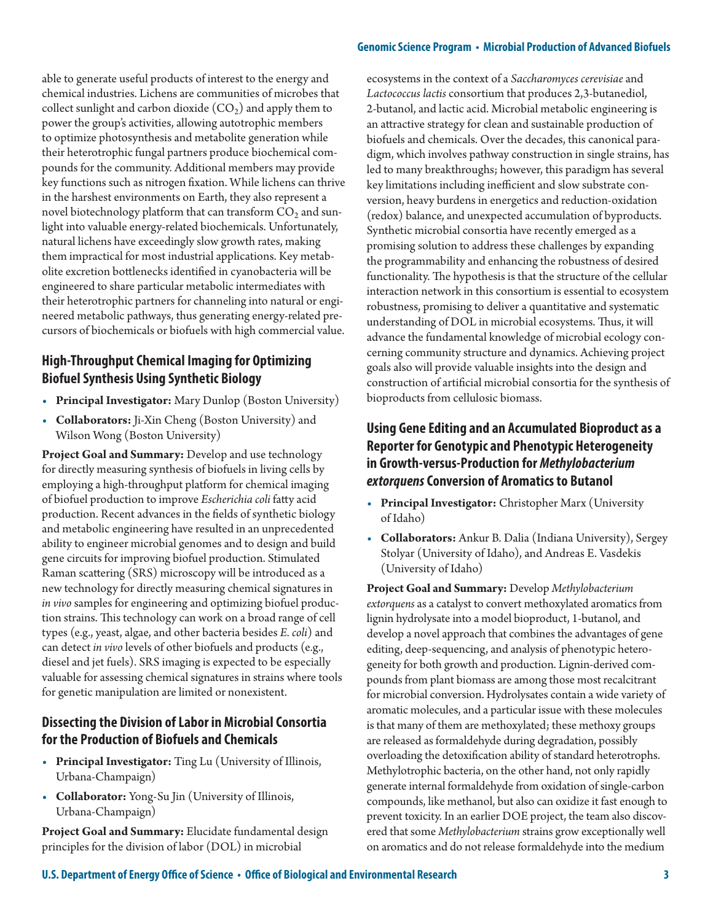able to generate useful products of interest to the energy and chemical industries. Lichens are communities of microbes that collect sunlight and carbon dioxide  $(CO<sub>2</sub>)$  and apply them to power the group's activities, allowing autotrophic members to optimize photosynthesis and metabolite generation while their heterotrophic fungal partners produce biochemical compounds for the community. Additional members may provide key functions such as nitrogen fixation. While lichens can thrive in the harshest environments on Earth, they also represent a novel biotechnology platform that can transform  $CO<sub>2</sub>$  and sunlight into valuable energy-related biochemicals. Unfortunately, natural lichens have exceedingly slow growth rates, making them impractical for most industrial applications. Key metabolite excretion bottlenecks identified in cyanobacteria will be engineered to share particular metabolic intermediates with their heterotrophic partners for channeling into natural or engineered metabolic pathways, thus generating energy-related precursors of biochemicals or biofuels with high commercial value.

## **High-Throughput Chemical Imaging for Optimizing Biofuel Synthesis Using Synthetic Biology**

- **Principal Investigator:** Mary Dunlop (Boston University)
- **Collaborators:** Ji-Xin Cheng (Boston University) and Wilson Wong (Boston University)

**Project Goal and Summary:** Develop and use technology for directly measuring synthesis of biofuels in living cells by employing a high-throughput platform for chemical imaging of biofuel production to improve *Escherichia coli* fatty acid production. Recent advances in the fields of synthetic biology and metabolic engineering have resulted in an unprecedented ability to engineer microbial genomes and to design and build gene circuits for improving biofuel production. Stimulated Raman scattering (SRS) microscopy will be introduced as a new technology for directly measuring chemical signatures in *in vivo* samples for engineering and optimizing biofuel production strains. This technology can work on a broad range of cell types (e.g., yeast, algae, and other bacteria besides *E. coli*) and can detect *in vivo* levels of other biofuels and products (e.g., diesel and jet fuels). SRS imaging is expected to be especially valuable for assessing chemical signatures in strains where tools for genetic manipulation are limited or nonexistent.

#### **Dissecting the Division of Labor in Microbial Consortia for the Production of Biofuels and Chemicals**

- **Principal Investigator:** Ting Lu (University of Illinois, Urbana-Champaign)
- **Collaborator:** Yong-Su Jin (University of Illinois, Urbana-Champaign)

**Project Goal and Summary:** Elucidate fundamental design principles for the division of labor (DOL) in microbial

ecosystems in the context of a *Saccharomyces cerevisiae* and *Lactococcus lactis* consortium that produces 2,3-butanediol, 2-butanol, and lactic acid. Microbial metabolic engineering is an attractive strategy for clean and sustainable production of biofuels and chemicals. Over the decades, this canonical paradigm, which involves pathway construction in single strains, has led to many breakthroughs; however, this paradigm has several key limitations including inefficient and slow substrate conversion, heavy burdens in energetics and reduction-oxidation (redox) balance, and unexpected accumulation of byproducts. Synthetic microbial consortia have recently emerged as a promising solution to address these challenges by expanding the programmability and enhancing the robustness of desired functionality. The hypothesis is that the structure of the cellular interaction network in this consortium is essential to ecosystem robustness, promising to deliver a quantitative and systematic understanding of DOL in microbial ecosystems. Thus, it will advance the fundamental knowledge of microbial ecology concerning community structure and dynamics. Achieving project goals also will provide valuable insights into the design and construction of artificial microbial consortia for the synthesis of bioproducts from cellulosic biomass.

## **Using Gene Editing and an Accumulated Bioproduct as a Reporter for Genotypic and Phenotypic Heterogeneity in Growth-versus-Production for** *Methylobacterium extorquens* **Conversion of Aromatics to Butanol**

- **Principal Investigator:** Christopher Marx (University of Idaho)
- **Collaborators:** Ankur B. Dalia (Indiana University), Sergey Stolyar (University of Idaho), and Andreas E. Vasdekis (University of Idaho)

**Project Goal and Summary:** Develop *Methylobacterium extorquens* as a catalyst to convert methoxylated aromatics from lignin hydrolysate into a model bioproduct, 1-butanol, and develop a novel approach that combines the advantages of gene editing, deep-sequencing, and analysis of phenotypic heterogeneity for both growth and production. Lignin-derived compounds from plant biomass are among those most recalcitrant for microbial conversion. Hydrolysates contain a wide variety of aromatic molecules, and a particular issue with these molecules is that many of them are methoxylated; these methoxy groups are released as formaldehyde during degradation, possibly overloading the detoxification ability of standard heterotrophs. Methylotrophic bacteria, on the other hand, not only rapidly generate internal formaldehyde from oxidation of single-carbon compounds, like methanol, but also can oxidize it fast enough to prevent toxicity. In an earlier DOE project, the team also discovered that some *Methylobacterium* strains grow exceptionally well on aromatics and do not release formaldehyde into the medium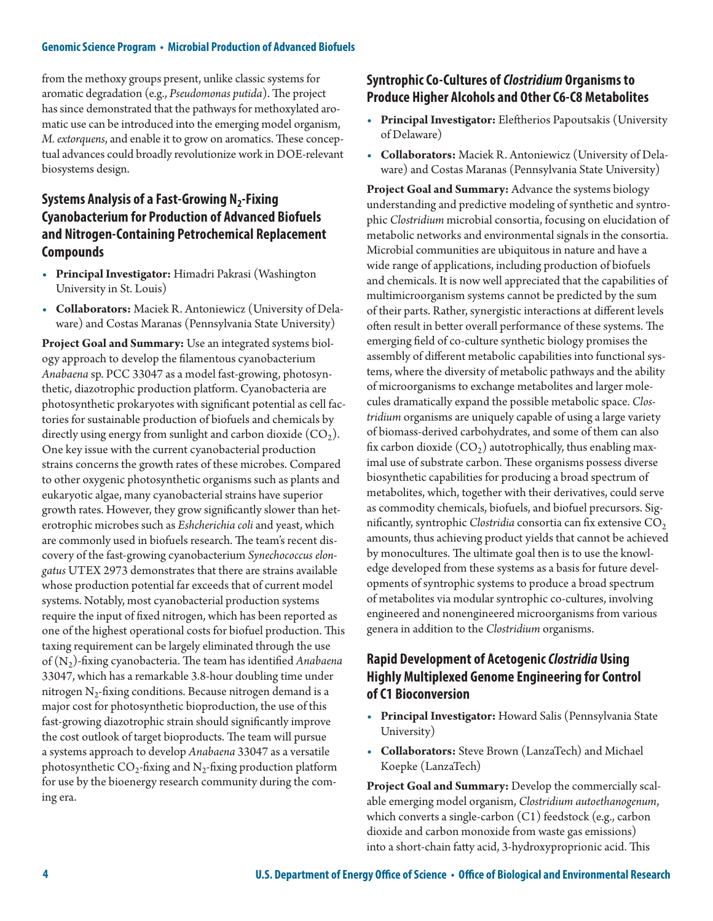from the methoxy groups present, unlike classic systems for aromatic degradation (e.g., *Pseudomonas putida*). The project has since demonstrated that the pathways for methoxylated aromatic use can be introduced into the emerging model organism, *M. extorquens*, and enable it to grow on aromatics. These conceptual advances could broadly revolutionize work in DOE-relevant biosystems design.

## **Systems Analysis of a Fast-Growing N<sub>2</sub>-Fixing Cyanobacterium for Production of Advanced Biofuels and Nitrogen-Containing Petrochemical Replacement Compounds**

- **Principal Investigator:** Himadri Pakrasi (Washington University in St. Louis)
- **Collaborators:** Maciek R. Antoniewicz (University of Delaware) and Costas Maranas (Pennsylvania State University)

**Project Goal and Summary:** Use an integrated systems biology approach to develop the filamentous cyanobacterium *Anabaena* sp. PCC 33047 as a model fast-growing, photosynthetic, diazotrophic production platform. Cyanobacteria are photosynthetic prokaryotes with significant potential as cell factories for sustainable production of biofuels and chemicals by directly using energy from sunlight and carbon dioxide  $(CO<sub>2</sub>)$ . One key issue with the current cyanobacterial production strains concerns the growth rates of these microbes. Compared to other oxygenic photosynthetic organisms such as plants and eukaryotic algae, many cyanobacterial strains have superior growth rates. However, they grow significantly slower than heterotrophic microbes such as *Eshcherichia coli* and yeast, which are commonly used in biofuels research. The team's recent discovery of the fast-growing cyanobacterium *Synechococcus elongatus* UTEX 2973 demonstrates that there are strains available whose production potential far exceeds that of current model systems. Notably, most cyanobacterial production systems require the input of fixed nitrogen, which has been reported as one of the highest operational costs for biofuel production. This taxing requirement can be largely eliminated through the use of (N2)-fixing cyanobacteria. The team has identified *Anabaena* 33047, which has a remarkable 3.8-hour doubling time under nitrogen  $N_2$ -fixing conditions. Because nitrogen demand is a major cost for photosynthetic bioproduction, the use of this fast-growing diazotrophic strain should significantly improve the cost outlook of target bioproducts. The team will pursue a systems approach to develop *Anabaena* 33047 as a versatile photosynthetic  $CO_2$ -fixing and  $N_2$ -fixing production platform for use by the bioenergy research community during the coming era.

## **Syntrophic Co-Cultures of** *Clostridium* **Organisms to Produce Higher Alcohols and Other C6-C8 Metabolites**

- **Principal Investigator:** Eleftherios Papoutsakis (University of Delaware)
- **Collaborators:** Maciek R. Antoniewicz (University of Delaware) and Costas Maranas (Pennsylvania State University)

**Project Goal and Summary:** Advance the systems biology understanding and predictive modeling of synthetic and syntrophic *Clostridium* microbial consortia, focusing on elucidation of metabolic networks and environmental signals in the consortia. Microbial communities are ubiquitous in nature and have a wide range of applications, including production of biofuels and chemicals. It is now well appreciated that the capabilities of multimicroorganism systems cannot be predicted by the sum of their parts. Rather, synergistic interactions at different levels often result in better overall performance of these systems. The emerging field of co-culture synthetic biology promises the assembly of different metabolic capabilities into functional systems, where the diversity of metabolic pathways and the ability of microorganisms to exchange metabolites and larger molecules dramatically expand the possible metabolic space. *Clostridium* organisms are uniquely capable of using a large variety of biomass-derived carbohydrates, and some of them can also fix carbon dioxide  $(CO_2)$  autotrophically, thus enabling maximal use of substrate carbon. These organisms possess diverse biosynthetic capabilities for producing a broad spectrum of metabolites, which, together with their derivatives, could serve as commodity chemicals, biofuels, and biofuel precursors. Significantly, syntrophic *Clostridia* consortia can fix extensive CO<sub>2</sub> amounts, thus achieving product yields that cannot be achieved by monocultures. The ultimate goal then is to use the knowledge developed from these systems as a basis for future developments of syntrophic systems to produce a broad spectrum of metabolites via modular syntrophic co-cultures, involving engineered and nonengineered microorganisms from various genera in addition to the *Clostridium* organisms.

#### **Rapid Development of Acetogenic** *Clostridia* **Using Highly Multiplexed Genome Engineering for Control of C1 Bioconversion**

- **Principal Investigator:** Howard Salis (Pennsylvania State University)
- **Collaborators:** Steve Brown (LanzaTech) and Michael Koepke (LanzaTech)

**Project Goal and Summary:** Develop the commercially scalable emerging model organism, *Clostridium autoethanogenum*, which converts a single-carbon (C1) feedstock (e.g., carbon dioxide and carbon monoxide from waste gas emissions) into a short-chain fatty acid, 3-hydroxyproprionic acid. This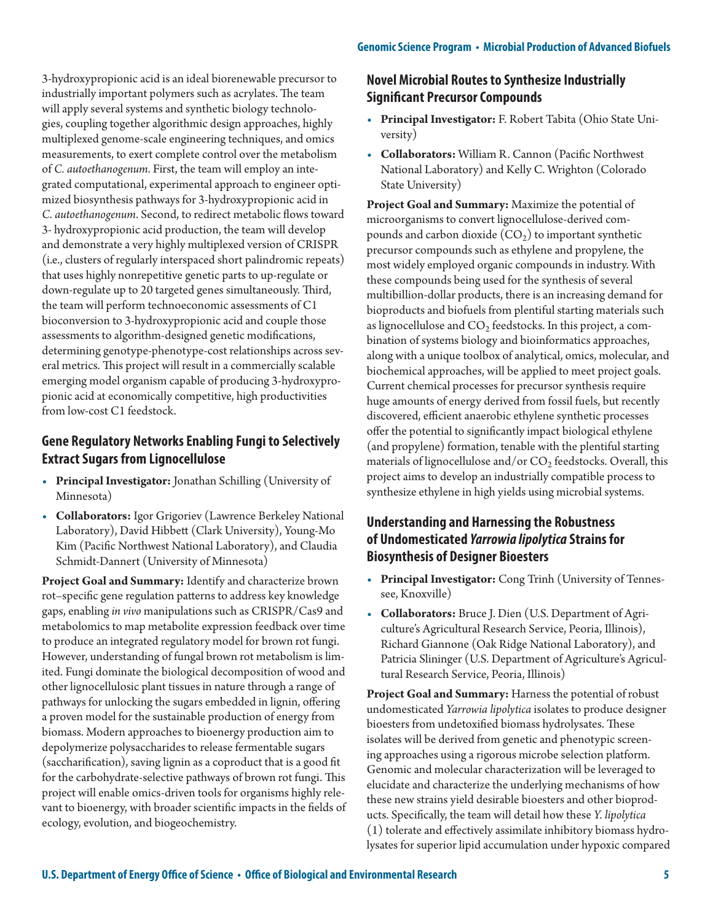3-hydroxypropionic acid is an ideal biorenewable precursor to industrially important polymers such as acrylates. The team will apply several systems and synthetic biology technologies, coupling together algorithmic design approaches, highly multiplexed genome-scale engineering techniques, and omics measurements, to exert complete control over the metabolism of *C. autoethanogenum*. First, the team will employ an integrated computational, experimental approach to engineer optimized biosynthesis pathways for 3-hydroxypropionic acid in *C. autoethanogenum*. Second, to redirect metabolic flows toward 3- hydroxypropionic acid production, the team will develop and demonstrate a very highly multiplexed version of CRISPR (i.e., clusters of regularly interspaced short palindromic repeats) that uses highly nonrepetitive genetic parts to up-regulate or down-regulate up to 20 targeted genes simultaneously. Third, the team will perform technoeconomic assessments of C1 bioconversion to 3-hydroxypropionic acid and couple those assessments to algorithm-designed genetic modifications, determining genotype-phenotype-cost relationships across several metrics. This project will result in a commercially scalable emerging model organism capable of producing 3-hydroxypropionic acid at economically competitive, high productivities from low-cost C1 feedstock.

## **Gene Regulatory Networks Enabling Fungi to Selectively Extract Sugars from Lignocellulose**

- **Principal Investigator:** Jonathan Schilling (University of Minnesota)
- **Collaborators:** Igor Grigoriev (Lawrence Berkeley National Laboratory), David Hibbett (Clark University), Young-Mo Kim (Pacific Northwest National Laboratory), and Claudia Schmidt-Dannert (University of Minnesota)

**Project Goal and Summary:** Identify and characterize brown rot–specific gene regulation patterns to address key knowledge gaps, enabling *in vivo* manipulations such as CRISPR/Cas9 and metabolomics to map metabolite expression feedback over time to produce an integrated regulatory model for brown rot fungi. However, understanding of fungal brown rot metabolism is limited. Fungi dominate the biological decomposition of wood and other lignocellulosic plant tissues in nature through a range of pathways for unlocking the sugars embedded in lignin, offering a proven model for the sustainable production of energy from biomass. Modern approaches to bioenergy production aim to depolymerize polysaccharides to release fermentable sugars (saccharification), saving lignin as a coproduct that is a good fit for the carbohydrate-selective pathways of brown rot fungi. This project will enable omics-driven tools for organisms highly relevant to bioenergy, with broader scientific impacts in the fields of ecology, evolution, and biogeochemistry.

## **Novel Microbial Routes to Synthesize Industrially Significant Precursor Compounds**

- **Principal Investigator:** F. Robert Tabita (Ohio State University)
- **Collaborators:** William R. Cannon (Pacific Northwest National Laboratory) and Kelly C. Wrighton (Colorado State University)

**Project Goal and Summary:** Maximize the potential of microorganisms to convert lignocellulose-derived compounds and carbon dioxide  $(CO_2)$  to important synthetic precursor compounds such as ethylene and propylene, the most widely employed organic compounds in industry. With these compounds being used for the synthesis of several multibillion-dollar products, there is an increasing demand for bioproducts and biofuels from plentiful starting materials such as lignocellulose and  $CO<sub>2</sub>$  feedstocks. In this project, a combination of systems biology and bioinformatics approaches, along with a unique toolbox of analytical, omics, molecular, and biochemical approaches, will be applied to meet project goals. Current chemical processes for precursor synthesis require huge amounts of energy derived from fossil fuels, but recently discovered, efficient anaerobic ethylene synthetic processes offer the potential to significantly impact biological ethylene (and propylene) formation, tenable with the plentiful starting materials of lignocellulose and/or  $CO<sub>2</sub>$  feedstocks. Overall, this project aims to develop an industrially compatible process to synthesize ethylene in high yields using microbial systems.

## **Understanding and Harnessing the Robustness of Undomesticated** *Yarrowia lipolytica* **Strains for Biosynthesis of Designer Bioesters**

- **Principal Investigator:** Cong Trinh (University of Tennessee, Knoxville)
- **Collaborators:** Bruce J. Dien (U.S. Department of Agriculture's Agricultural Research Service, Peoria, Illinois), Richard Giannone (Oak Ridge National Laboratory), and Patricia Slininger (U.S. Department of Agriculture's Agricultural Research Service, Peoria, Illinois)

**Project Goal and Summary:** Harness the potential of robust undomesticated *Yarrowia lipolytica* isolates to produce designer bioesters from undetoxified biomass hydrolysates. These isolates will be derived from genetic and phenotypic screening approaches using a rigorous microbe selection platform. Genomic and molecular characterization will be leveraged to elucidate and characterize the underlying mechanisms of how these new strains yield desirable bioesters and other bioproducts. Specifically, the team will detail how these *Y. lipolytica* (1) tolerate and effectively assimilate inhibitory biomass hydrolysates for superior lipid accumulation under hypoxic compared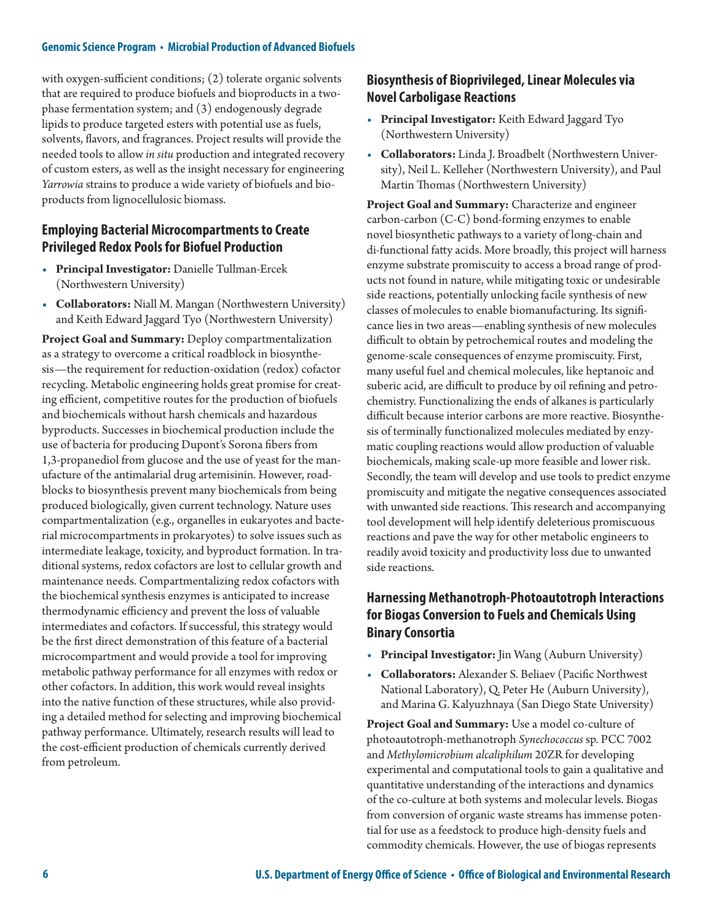with oxygen-sufficient conditions; (2) tolerate organic solvents that are required to produce biofuels and bioproducts in a twophase fermentation system; and (3) endogenously degrade lipids to produce targeted esters with potential use as fuels, solvents, flavors, and fragrances. Project results will provide the needed tools to allow *in situ* production and integrated recovery of custom esters, as well as the insight necessary for engineering *Yarrowia* strains to produce a wide variety of biofuels and bioproducts from lignocellulosic biomass.

#### **Employing Bacterial Microcompartments to Create Privileged Redox Pools for Biofuel Production**

- **Principal Investigator:** Danielle Tullman-Ercek (Northwestern University)
- **Collaborators:** Niall M. Mangan (Northwestern University) and Keith Edward Jaggard Tyo (Northwestern University)

**Project Goal and Summary:** Deploy compartmentalization as a strategy to overcome a critical roadblock in biosynthesis—the requirement for reduction-oxidation (redox) cofactor recycling. Metabolic engineering holds great promise for creating efficient, competitive routes for the production of biofuels and biochemicals without harsh chemicals and hazardous byproducts. Successes in biochemical production include the use of bacteria for producing Dupont's Sorona fibers from 1,3-propanediol from glucose and the use of yeast for the manufacture of the antimalarial drug artemisinin. However, roadblocks to biosynthesis prevent many biochemicals from being produced biologically, given current technology. Nature uses compartmentalization (e.g., organelles in eukaryotes and bacterial microcompartments in prokaryotes) to solve issues such as intermediate leakage, toxicity, and byproduct formation. In traditional systems, redox cofactors are lost to cellular growth and maintenance needs. Compartmentalizing redox cofactors with the biochemical synthesis enzymes is anticipated to increase thermodynamic efficiency and prevent the loss of valuable intermediates and cofactors. If successful, this strategy would be the first direct demonstration of this feature of a bacterial microcompartment and would provide a tool for improving metabolic pathway performance for all enzymes with redox or other cofactors. In addition, this work would reveal insights into the native function of these structures, while also providing a detailed method for selecting and improving biochemical pathway performance. Ultimately, research results will lead to the cost-efficient production of chemicals currently derived from petroleum.

#### **Biosynthesis of Bioprivileged, Linear Molecules via Novel Carboligase Reactions**

- **Principal Investigator:** Keith Edward Jaggard Tyo (Northwestern University)
- **Collaborators:** Linda J. Broadbelt (Northwestern University), Neil L. Kelleher (Northwestern University), and Paul Martin Thomas (Northwestern University)

**Project Goal and Summary:** Characterize and engineer carbon-carbon (C-C) bond-forming enzymes to enable novel biosynthetic pathways to a variety of long-chain and di-functional fatty acids. More broadly, this project will harness enzyme substrate promiscuity to access a broad range of products not found in nature, while mitigating toxic or undesirable side reactions, potentially unlocking facile synthesis of new classes of molecules to enable biomanufacturing. Its significance lies in two areas—enabling synthesis of new molecules difficult to obtain by petrochemical routes and modeling the genome-scale consequences of enzyme promiscuity. First, many useful fuel and chemical molecules, like heptanoic and suberic acid, are difficult to produce by oil refining and petrochemistry. Functionalizing the ends of alkanes is particularly difficult because interior carbons are more reactive. Biosynthesis of terminally functionalized molecules mediated by enzymatic coupling reactions would allow production of valuable biochemicals, making scale-up more feasible and lower risk. Secondly, the team will develop and use tools to predict enzyme promiscuity and mitigate the negative consequences associated with unwanted side reactions. This research and accompanying tool development will help identify deleterious promiscuous reactions and pave the way for other metabolic engineers to readily avoid toxicity and productivity loss due to unwanted side reactions.

### **Harnessing Methanotroph-Photoautotroph Interactions for Biogas Conversion to Fuels and Chemicals Using Binary Consortia**

- **Principal Investigator:** Jin Wang (Auburn University)
- **Collaborators:** Alexander S. Beliaev (Pacific Northwest National Laboratory), Q. Peter He (Auburn University), and Marina G. Kalyuzhnaya (San Diego State University)

**Project Goal and Summary:** Use a model co-culture of photoautotroph-methanotroph *Synechococcus* sp. PCC 7002 and *Methylomicrobium alcaliphilum* 20ZR for developing experimental and computational tools to gain a qualitative and quantitative understanding of the interactions and dynamics of the co-culture at both systems and molecular levels. Biogas from conversion of organic waste streams has immense potential for use as a feedstock to produce high-density fuels and commodity chemicals. However, the use of biogas represents